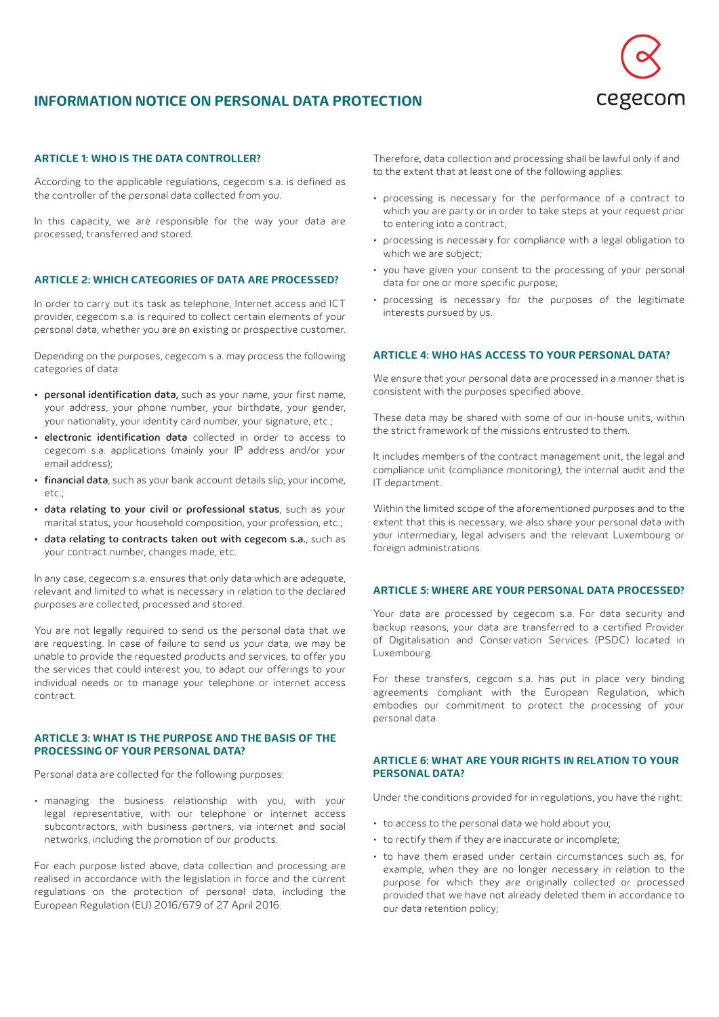

# **INFORMATION NOTICE ON PERSONAL DATA PROTECTION**

## **ARTICLE 1: WHO IS THE DATA CONTROLLER?**

According to the applicable regulations, cegecom s.a. is defined as the controller of the personal data collected from you.

In this capacity, we are responsible for the way your data are processed, transferred and stored.

#### **ARTICLE 2: WHICH CATEGORIES OF DATA ARE PROCESSED?**

In order to carry out its task as telephone, Internet access and ICT provider, cegecom s.a. is required to collect certain elements of your personal data, whether you are an existing or prospective customer.

Depending on the purposes, cegecom s.a. may process the following categories of data:

- personal identification data, such as your name, your first name, your address, your phone number, your birthdate, your gender, your nationality, your identity card number, your signature, etc.;
- electronic identification data collected in order to access to cegecom s.a. applications (mainly your IP address and/or your email address);
- financial data, such as your bank account details slip, your income,  $\rho$ tc.;
- data relating to your civil or professional status, such as your marital status, your household composition, your profession, etc.;
- data relating to contracts taken out with cegecom s.a., such as your contract number, changes made, etc.

In any case, cegecom s.a. ensures that only data which are adequate, relevant and limited to what is necessary in relation to the declared purposes are collected, processed and stored.

You are not legally required to send us the personal data that we are requesting. In case of failure to send us your data, we may be unable to provide the requested products and services, to offer you the services that could interest you, to adapt our offerings to your individual needs or to manage your telephone or internet access contract.

## **ARTICLE 3: WHAT IS THE PURPOSE AND THE BASIS OF THE PROCESSING OF YOUR PERSONAL DATA?**

Personal data are collected for the following purposes:

• managing the business relationship with you, with your legal representative, with our telephone or internet access subcontractors, with business partners, via internet and social networks, including the promotion of our products.

For each purpose listed above, data collection and processing are realised in accordance with the legislation in force and the current regulations on the protection of personal data, including the European Regulation (EU) 2016/679 of 27 April 2016.

Therefore, data collection and processing shall be lawful only if and to the extent that at least one of the following applies:

- processing is necessary for the performance of a contract to which you are party or in order to take steps at your request prior to entering into a contract;
- processing is necessary for compliance with a legal obligation to which we are subject;
- you have given your consent to the processing of your personal data for one or more specific purpose;
- processing is necessary for the purposes of the legitimate interests pursued by us.

#### **ARTICLE 4: WHO HAS ACCESS TO YOUR PERSONAL DATA?**

We ensure that your personal data are processed in a manner that is consistent with the purposes specified above.

These data may be shared with some of our in-house units, within the strict framework of the missions entrusted to them.

It includes members of the contract management unit, the legal and compliance unit (compliance monitoring), the internal audit and the IT department.

Within the limited scope of the aforementioned purposes and to the extent that this is necessary, we also share your personal data with your intermediary, legal advisers and the relevant Luxembourg or foreign administrations.

## **ARTICLE 5: WHERE ARE YOUR PERSONAL DATA PROCESSED?**

Your data are processed by cegecom s.a. For data security and backup reasons, your data are transferred to a certified Provider of Digitalisation and Conservation Services (PSDC) located in Luxembourg.

For these transfers, cegcom s.a. has put in place very binding agreements compliant with the European Regulation, which embodies our commitment to protect the processing of your personal data.

#### **ARTICLE 6: WHAT ARE YOUR RIGHTS IN RELATION TO YOUR PERSONAL DATA?**

Under the conditions provided for in regulations, you have the right:

- to access to the personal data we hold about you;
- to rectify them if they are inaccurate or incomplete;
- to have them erased under certain circumstances such as, for example, when they are no longer necessary in relation to the purpose for which they are originally collected or processed provided that we have not already deleted them in accordance to our data retention policy;